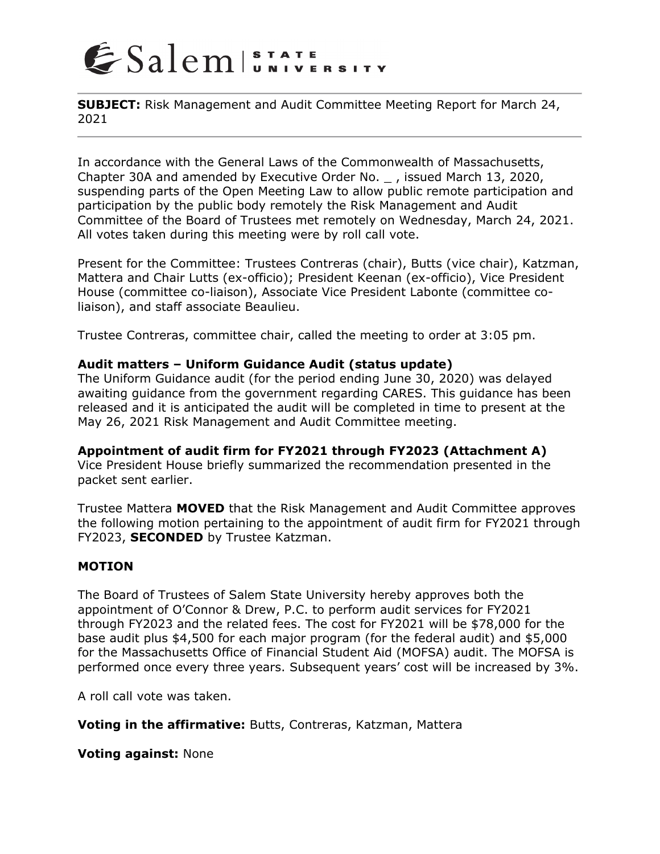

**SUBJECT:** Risk Management and Audit Committee Meeting Report for March 24, 2021

In accordance with the General Laws of the Commonwealth of Massachusetts, Chapter 30A and amended by Executive Order No. \_ , issued March 13, 2020, suspending parts of the Open Meeting Law to allow public remote participation and participation by the public body remotely the Risk Management and Audit Committee of the Board of Trustees met remotely on Wednesday, March 24, 2021. All votes taken during this meeting were by roll call vote.

Present for the Committee: Trustees Contreras (chair), Butts (vice chair), Katzman, Mattera and Chair Lutts (ex-officio); President Keenan (ex-officio), Vice President House (committee co-liaison), Associate Vice President Labonte (committee coliaison), and staff associate Beaulieu.

Trustee Contreras, committee chair, called the meeting to order at 3:05 pm.

### **Audit matters – Uniform Guidance Audit (status update)**

The Uniform Guidance audit (for the period ending June 30, 2020) was delayed awaiting guidance from the government regarding CARES. This guidance has been released and it is anticipated the audit will be completed in time to present at the May 26, 2021 Risk Management and Audit Committee meeting.

### **Appointment of audit firm for FY2021 through FY2023 (Attachment A)**

Vice President House briefly summarized the recommendation presented in the packet sent earlier.

Trustee Mattera **MOVED** that the Risk Management and Audit Committee approves the following motion pertaining to the appointment of audit firm for FY2021 through FY2023, **SECONDED** by Trustee Katzman.

### **MOTION**

The Board of Trustees of Salem State University hereby approves both the appointment of O'Connor & Drew, P.C. to perform audit services for FY2021 through FY2023 and the related fees. The cost for FY2021 will be \$78,000 for the base audit plus \$4,500 for each major program (for the federal audit) and \$5,000 for the Massachusetts Office of Financial Student Aid (MOFSA) audit. The MOFSA is performed once every three years. Subsequent years' cost will be increased by 3%.

A roll call vote was taken.

**Voting in the affirmative:** Butts, Contreras, Katzman, Mattera

**Voting against:** None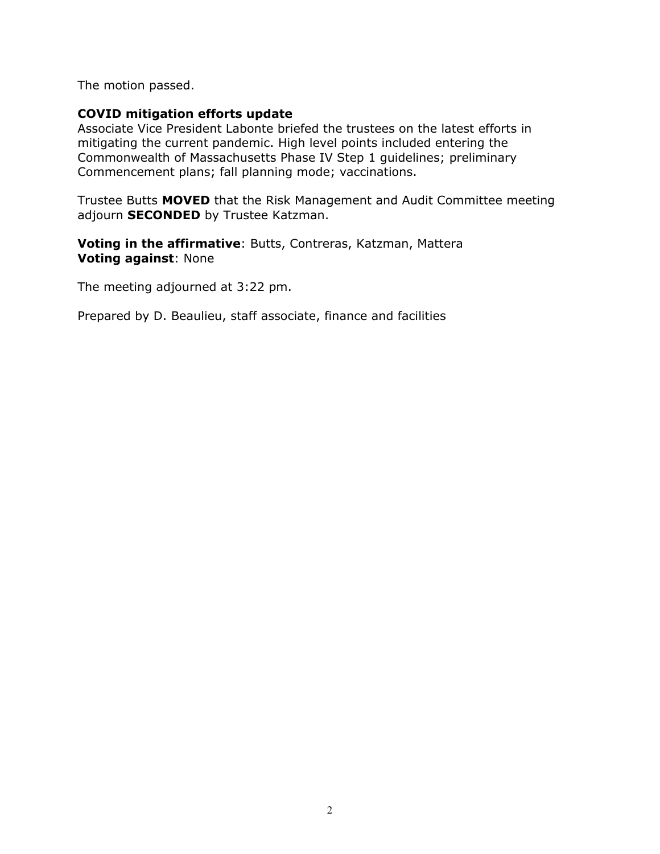The motion passed.

### **COVID mitigation efforts update**

Associate Vice President Labonte briefed the trustees on the latest efforts in mitigating the current pandemic. High level points included entering the Commonwealth of Massachusetts Phase IV Step 1 guidelines; preliminary Commencement plans; fall planning mode; vaccinations.

Trustee Butts **MOVED** that the Risk Management and Audit Committee meeting adjourn **SECONDED** by Trustee Katzman.

**Voting in the affirmative**: Butts, Contreras, Katzman, Mattera **Voting against**: None

The meeting adjourned at 3:22 pm.

Prepared by D. Beaulieu, staff associate, finance and facilities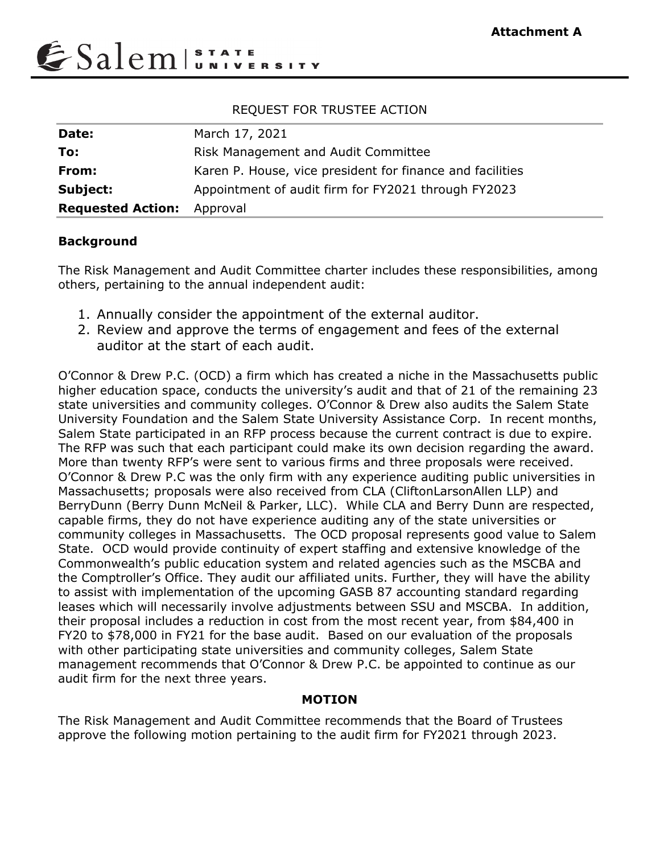

# REQUEST FOR TRUSTEE ACTION

| Date:                    | March 17, 2021                                            |
|--------------------------|-----------------------------------------------------------|
| To:                      | Risk Management and Audit Committee                       |
| From:                    | Karen P. House, vice president for finance and facilities |
| Subject:                 | Appointment of audit firm for FY2021 through FY2023       |
| <b>Requested Action:</b> | Approval                                                  |

# **Background**

The Risk Management and Audit Committee charter includes these responsibilities, among others, pertaining to the annual independent audit:

- 1. Annually consider the appointment of the external auditor.
- 2. Review and approve the terms of engagement and fees of the external auditor at the start of each audit.

O'Connor & Drew P.C. (OCD) a firm which has created a niche in the Massachusetts public higher education space, conducts the university's audit and that of 21 of the remaining 23 state universities and community colleges. O'Connor & Drew also audits the Salem State University Foundation and the Salem State University Assistance Corp. In recent months, Salem State participated in an RFP process because the current contract is due to expire. The RFP was such that each participant could make its own decision regarding the award. More than twenty RFP's were sent to various firms and three proposals were received. O'Connor & Drew P.C was the only firm with any experience auditing public universities in Massachusetts; proposals were also received from CLA (CliftonLarsonAllen LLP) and BerryDunn (Berry Dunn McNeil & Parker, LLC). While CLA and Berry Dunn are respected, capable firms, they do not have experience auditing any of the state universities or community colleges in Massachusetts. The OCD proposal represents good value to Salem State. OCD would provide continuity of expert staffing and extensive knowledge of the Commonwealth's public education system and related agencies such as the MSCBA and the Comptroller's Office. They audit our affiliated units. Further, they will have the ability to assist with implementation of the upcoming GASB 87 accounting standard regarding leases which will necessarily involve adjustments between SSU and MSCBA. In addition, their proposal includes a reduction in cost from the most recent year, from \$84,400 in FY20 to \$78,000 in FY21 for the base audit. Based on our evaluation of the proposals with other participating state universities and community colleges, Salem State management recommends that O'Connor & Drew P.C. be appointed to continue as our audit firm for the next three years.

# **MOTION**

The Risk Management and Audit Committee recommends that the Board of Trustees approve the following motion pertaining to the audit firm for FY2021 through 2023.